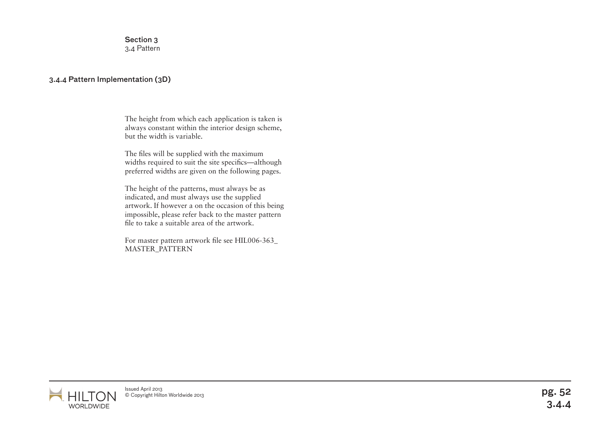Section 3 3.4 Pattern

### 3.4.4 Pattern Implementation (3D)

The height from which each application is taken is always constant within the interior design scheme, but the width is variable.

The files will be supplied with the maximum widths required to suit the site specifics—although preferred widths are given on the following pages.

The height of the patterns, must always be as indicated, and must always use the supplied artwork. If however a on the occasion of this being impossible, please refer back to the master pattern file to take a suitable area of the artwork.

For master pattern artwork file see HIL006-363\_ MASTER\_PATTERN

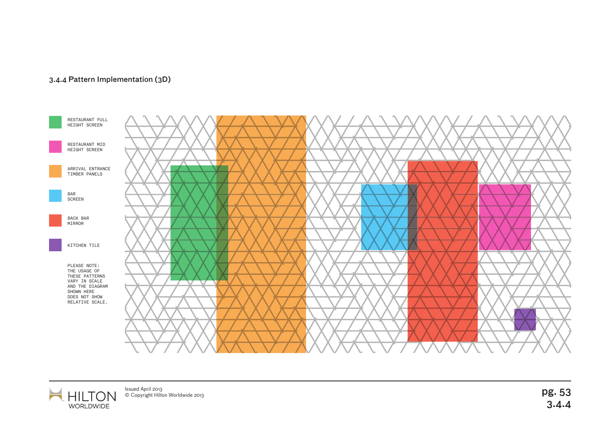

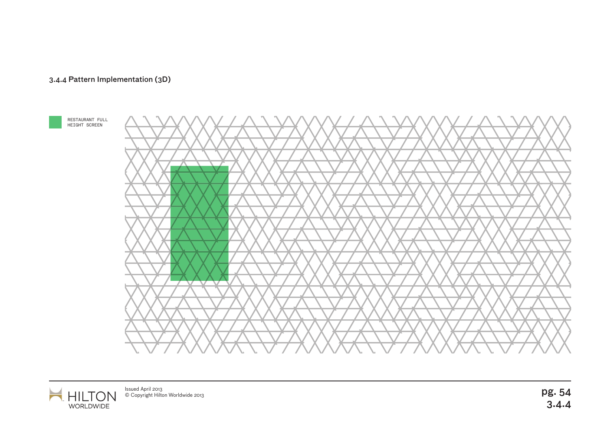



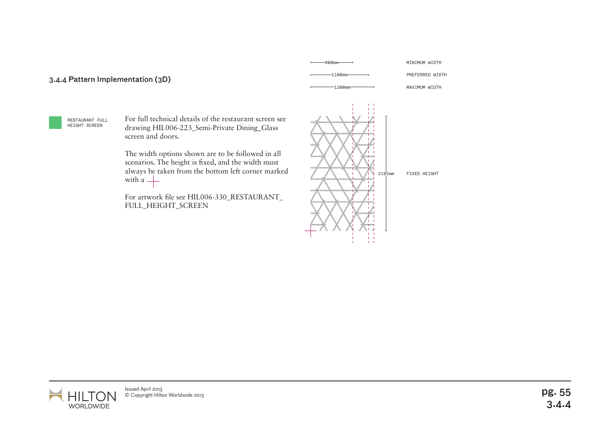

I TO

WORLDWIDE

HI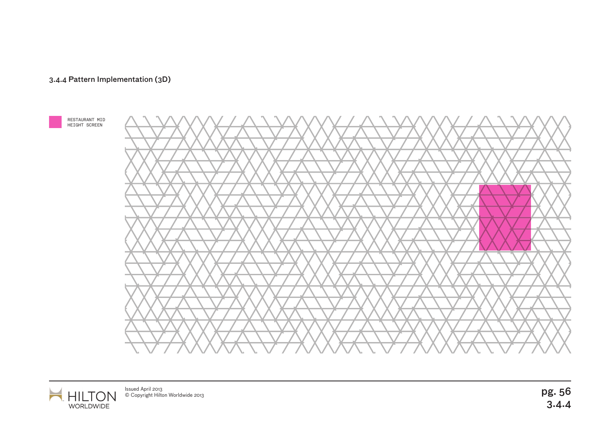



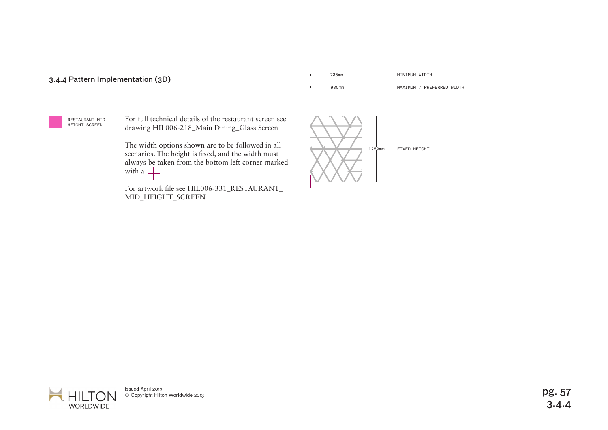

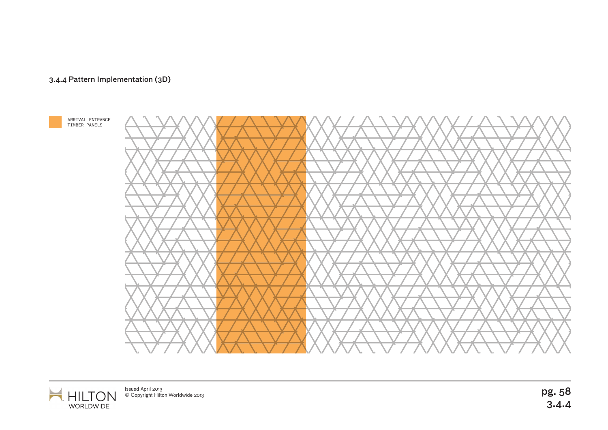

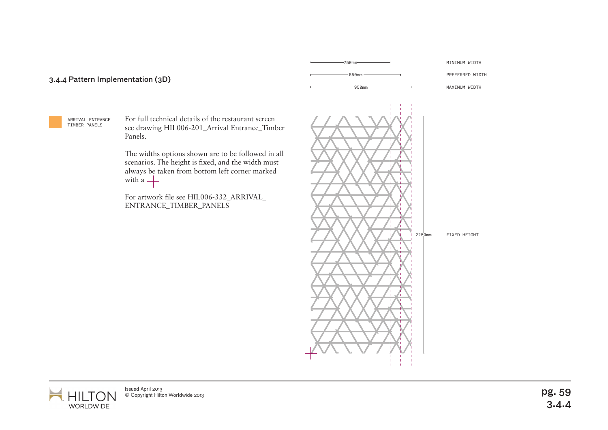ARRIVAL ENTRANCE TIMBER PANELS

For full technical details of the restaurant screen see drawing HIL006-201\_Arrival Entrance\_Timber Panels.

The widths options shown are to be followed in all scenarios. The height is fixed, and the width must always be taken from bottom left corner marked with a  $+$ 

For artwork file see HIL006-332\_ARRIVAL\_ ENTRANCE\_TIMBER\_PANELS



850mm 750mm

PREFERRED WIDTH MINIMUM WIDTH

MAXIMUM WIDTH

FIXED HEIGHT

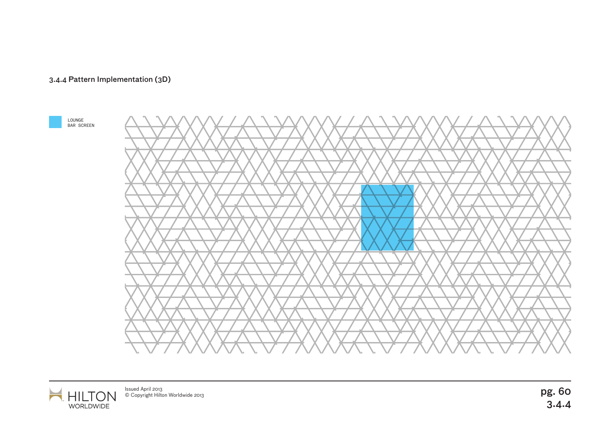



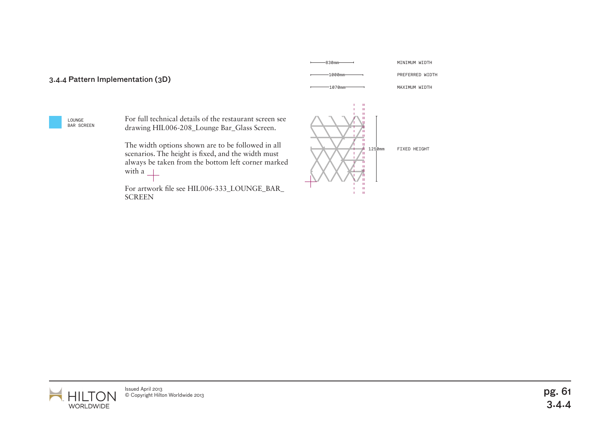

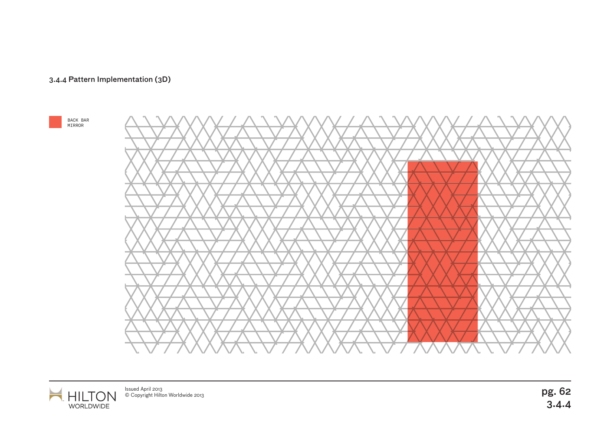





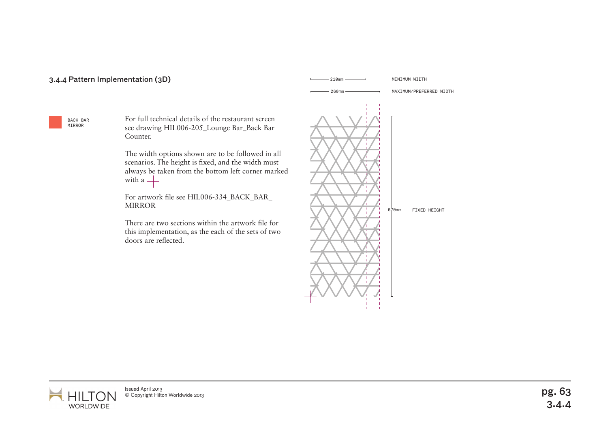### 3.4.4 Pattern Implementation (3D) and the state of the state of the state of the state of the state of the state of the state of the state of the state of the state of the state of the state of the state of the state of th

BACK BAR MIRROR

For full technical details of the restaurant screen see drawing HIL006-205\_Lounge Bar\_Back Bar Counter.

The width options shown are to be followed in all scenarios. The height is fixed, and the width must always be taken from the bottom left corner marked with a  $+$ 

For artwork file see HIL006-334\_BACK\_BAR\_ MIRROR

There are two sections within the artwork file for this implementation, as the each of the sets of two doors are reflected.





Issued April 2013<br>© Copyright Hilton Worldwide 2013 lssued April 2013<br>© Copyright Hilton Worldwide 2013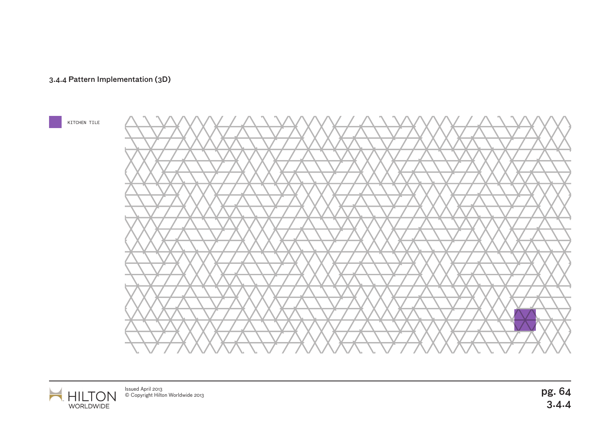







pg. 64<br>3.4.4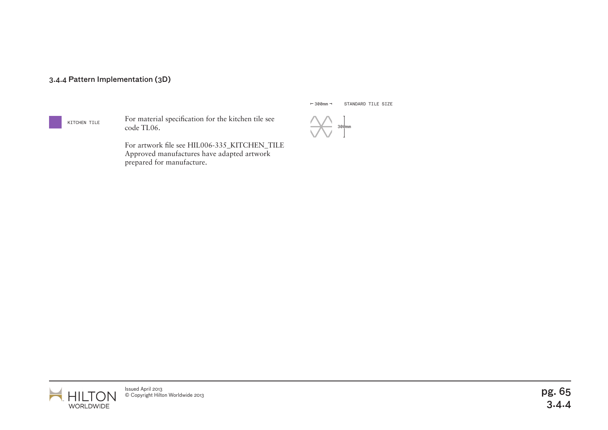#### KITCHEN TILE

For material specification for the kitchen tile see code TL06.

For artwork file see HIL006-335\_KITCHEN\_TILE Approved manufactures have adapted artwork prepared for manufacture.

 $-300$ mm $-$ STANDARD TILE SIZE